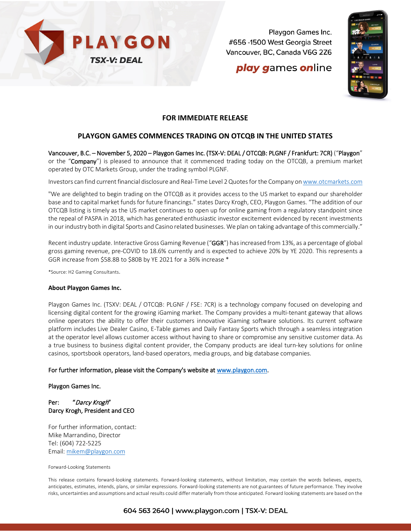

Playgon Games Inc. #656-1500 West Georgia Street Vancouver, BC, Canada V6G 2Z6

# **play games online**



## **FOR IMMEDIATE RELEASE**

### **PLAYGON GAMES COMMENCES TRADING ON OTCQB IN THE UNITED STATES**

Vancouver, B.C. – November 5, 2020 – Playgon Games Inc. (TSX-V: DEAL / OTCQB: PLGNF / Frankfurt: 7CR) ("Playgon" or the "Company") is pleased to announce that it commenced trading today on the OTCQB, a premium market operated by OTC Markets Group, under the trading symbol PLGNF.

Investors can find current financial disclosure and Real-Time Level 2 Quotes for the Company o[n www.otcmarkets.com](http://www.otcmarkets.com/)

"We are delighted to begin trading on the OTCQB as it provides access to the US market to expand our shareholder base and to capital market funds for future financings." states Darcy Krogh, CEO, Playgon Games. "The addition of our OTCQB listing is timely as the US market continues to open up for online gaming from a regulatory standpoint since the repeal of PASPA in 2018, which has generated enthusiastic investor excitement evidenced by recent investments in our industry both in digital Sports and Casino related businesses. We plan on taking advantage of this commercially."

Recent industry update. Interactive Gross Gaming Revenue ("GGR") has increased from 13%, as a percentage of global gross gaming revenue, pre-COVID to 18.6% currently and is expected to achieve 20% by YE 2020. This represents a GGR increase from \$58.8B to \$80B by YE 2021 for a 36% increase \*

\*Source: H2 Gaming Consultants.

#### **About Playgon Games Inc.**

Playgon Games Inc. (TSXV: DEAL / OTCQB: PLGNF / FSE: 7CR) is a technology company focused on developing and licensing digital content for the growing iGaming market. The Company provides a multi-tenant gateway that allows online operators the ability to offer their customers innovative iGaming software solutions. Its current software platform includes Live Dealer Casino, E-Table games and Daily Fantasy Sports which through a seamless integration at the operator level allows customer access without having to share or compromise any sensitive customer data. As a true business to business digital content provider, the Company products are ideal turn-key solutions for online casinos, sportsbook operators, land-based operators, media groups, and big database companies.

#### For further information, please visit the Company's website at [www.playgon.com.](http://www.playgon.com/)

#### Playgon Games Inc.

### Per: "Darcy Krogh" Darcy Krogh, President and CEO

For further information, contact: Mike Marrandino, Director Tel: (604) 722-5225 Email: [mikem@playgon.com](mailto:mikem@playgon.com)

#### Forward-Looking Statements

This release contains forward-looking statements. Forward-looking statements, without limitation, may contain the words believes, expects, anticipates, estimates, intends, plans, or similar expressions. Forward-looking statements are not guarantees of future performance. They involve risks, uncertainties and assumptions and actual results could differ materially from those anticipated. Forward looking statements are based on the